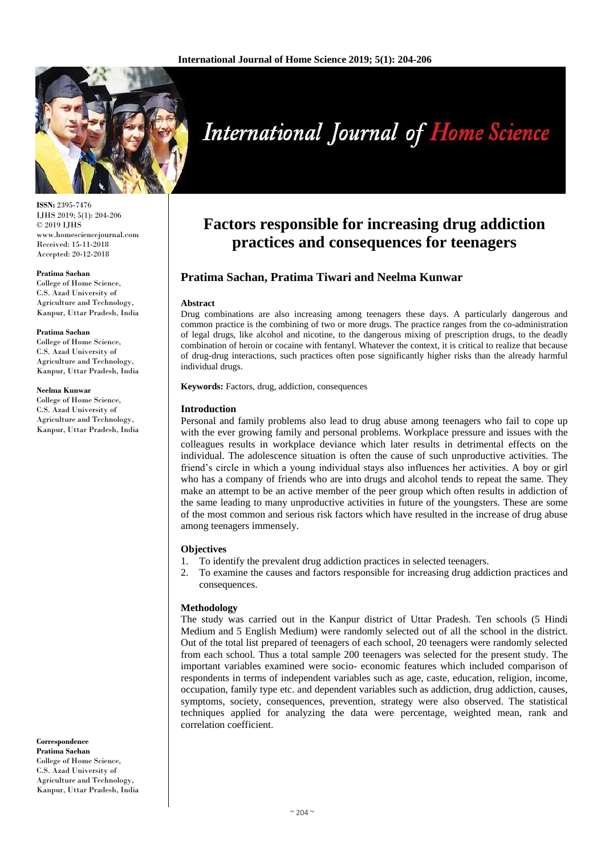

**ISSN:** 2395-7476 IJHS 2019; 5(1): 204-206 © 2019 IJHS www.homesciencejournal.com Received: 15-11-2018 Accepted: 20-12-2018

#### **Pratima Sachan**

College of Home Science, C.S. Azad University of Agriculture and Technology, Kanpur, Uttar Pradesh, India

#### **Pratima Sachan**

College of Home Science, C.S. Azad University of Agriculture and Technology, Kanpur, Uttar Pradesh, India

#### **Neelma Kunwar**

College of Home Science, C.S. Azad University of Agriculture and Technology, Kanpur, Uttar Pradesh, India

**Correspondence Pratima Sachan** College of Home Science, C.S. Azad University of Agriculture and Technology, Kanpur, Uttar Pradesh, India

# **International Journal of Home Science**

## **Factors responsible for increasing drug addiction practices and consequences for teenagers**

### **Pratima Sachan, Pratima Tiwari and Neelma Kunwar**

#### **Abstract**

Drug combinations are also increasing among teenagers these days. A particularly dangerous and common practice is the combining of two or more drugs. The practice ranges from the co-administration of legal drugs, like alcohol and nicotine, to the dangerous mixing of prescription drugs, to the deadly combination of heroin or cocaine with fentanyl. Whatever the context, it is critical to realize that because of drug-drug interactions, such practices often pose significantly higher risks than the already harmful individual drugs.

**Keywords:** Factors, drug, addiction, consequences

#### **Introduction**

Personal and family problems also lead to drug abuse among teenagers who fail to cope up with the ever growing family and personal problems. Workplace pressure and issues with the colleagues results in workplace deviance which later results in detrimental effects on the individual. The adolescence situation is often the cause of such unproductive activities. The friend's circle in which a young individual stays also influences her activities. A boy or girl who has a company of friends who are into drugs and alcohol tends to repeat the same. They make an attempt to be an active member of the peer group which often results in addiction of the same leading to many unproductive activities in future of the youngsters. These are some of the most common and serious risk factors which have resulted in the increase of drug abuse among teenagers immensely.

#### **Objectives**

- 1. To identify the prevalent drug addiction practices in selected teenagers.
- 2. To examine the causes and factors responsible for increasing drug addiction practices and consequences.

#### **Methodology**

The study was carried out in the Kanpur district of Uttar Pradesh. Ten schools (5 Hindi Medium and 5 English Medium) were randomly selected out of all the school in the district. Out of the total list prepared of teenagers of each school, 20 teenagers were randomly selected from each school. Thus a total sample 200 teenagers was selected for the present study. The important variables examined were socio- economic features which included comparison of respondents in terms of independent variables such as age, caste, education, religion, income, occupation, family type etc. and dependent variables such as addiction, drug addiction, causes, symptoms, society, consequences, prevention, strategy were also observed. The statistical techniques applied for analyzing the data were percentage, weighted mean, rank and correlation coefficient.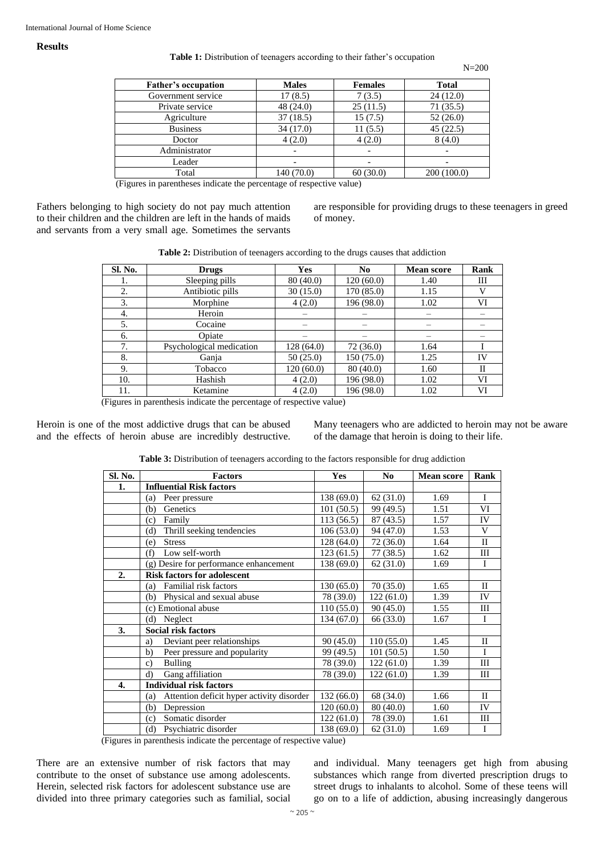#### **Results**

#### Table 1: Distribution of teenagers according to their father's occupation

N=200

| <b>Father's occupation</b> | <b>Males</b> | <b>Females</b> | <b>Total</b> |
|----------------------------|--------------|----------------|--------------|
| Government service         | 17(8.5)      | 7(3.5)         | 24(12.0)     |
| Private service            | 48(24.0)     | 25(11.5)       | 71(35.5)     |
| Agriculture                | 37(18.5)     | 15(7.5)        | 52(26.0)     |
| <b>Business</b>            | 34(17.0)     | 11(5.5)        | 45(22.5)     |
| Doctor                     | 4(2.0)       | 4(2.0)         | 8(4.0)       |
| Administrator              |              |                |              |
| Leader                     |              |                |              |
| Total                      | 140 (70.0)   | 60(30.0)       | 200(100.0)   |

(Figures in parentheses indicate the percentage of respective value)

Fathers belonging to high society do not pay much attention to their children and the children are left in the hands of maids and servants from a very small age. Sometimes the servants

are responsible for providing drugs to these teenagers in greed of money.

| Table 2: Distribution of teenagers according to the drugs causes that addiction |  |  |  |  |  |
|---------------------------------------------------------------------------------|--|--|--|--|--|
|---------------------------------------------------------------------------------|--|--|--|--|--|

| Sl. No. | <b>Drugs</b>             | <b>Yes</b> | N <sub>0</sub> | <b>Mean score</b> | Rank |
|---------|--------------------------|------------|----------------|-------------------|------|
| 1.      | Sleeping pills           | 80(40.0)   | 120(60.0)      | 1.40              | Ш    |
| 2.      | Antibiotic pills         | 30(15.0)   | 170 (85.0)     | 1.15              | v    |
| 3.      | Morphine                 | 4(2.0)     | 196 (98.0)     | 1.02              | VI   |
| 4.      | Heroin                   |            |                |                   |      |
| 5.      | Cocaine                  |            |                |                   |      |
| 6.      | Opiate                   |            |                |                   |      |
| 7.      | Psychological medication | 128 (64.0) | 72(36.0)       | 1.64              |      |
| 8.      | Ganja                    | 50(25.0)   | 150 (75.0)     | 1.25              | IV   |
| 9.      | Tobacco                  | 120(60.0)  | 80 (40.0)      | 1.60              | Н    |
| 10.     | Hashish                  | 4(2.0)     | 196 (98.0)     | 1.02              | VI   |
| 11.     | Ketamine                 | 4(2.0)     | 196 (98.0)     | 1.02              | VI   |

(Figures in parenthesis indicate the percentage of respective value)

Heroin is one of the most addictive drugs that can be abused and the effects of heroin abuse are incredibly destructive.

Many teenagers who are addicted to heroin may not be aware of the damage that heroin is doing to their life.

**Table 3:** Distribution of teenagers according to the factors responsible for drug addiction

| Sl. No. | <b>Factors</b>                                   | Yes        | N <sub>0</sub> | <b>Mean score</b> | Rank         |
|---------|--------------------------------------------------|------------|----------------|-------------------|--------------|
| 1.      | <b>Influential Risk factors</b>                  |            |                |                   |              |
|         | Peer pressure<br>(a)                             | 138 (69.0) | 62(31.0)       | 1.69              | I            |
|         | Genetics<br>(b)                                  | 101(50.5)  | 99 (49.5)      | 1.51              | VI           |
|         | Family<br>(c)                                    | 113(56.5)  | 87 (43.5)      | 1.57              | IV           |
|         | Thrill seeking tendencies<br>(d)                 | 106(53.0)  | 94 (47.0)      | 1.53              | V            |
|         | <b>Stress</b><br>(e)                             | 128 (64.0) | 72(36.0)       | 1.64              | $\mathbf{I}$ |
|         | Low self-worth<br>(f)                            | 123(61.5)  | 77 (38.5)      | 1.62              | Ш            |
|         | (g) Desire for performance enhancement           | 138 (69.0) | 62(31.0)       | 1.69              | I            |
| 2.      | <b>Risk factors for adolescent</b>               |            |                |                   |              |
|         | Familial risk factors<br>(a)                     | 130(65.0)  | 70 (35.0)      | 1.65              | H            |
|         | Physical and sexual abuse<br>(b)                 | 78 (39.0)  | 122(61.0)      | 1.39              | IV           |
|         | (c) Emotional abuse                              | 110(55.0)  | 90(45.0)       | 1.55              | Ш            |
|         | Neglect<br>(d)                                   | 134 (67.0) | 66 (33.0)      | 1.67              | I            |
| 3.      | <b>Social risk factors</b>                       |            |                |                   |              |
|         | Deviant peer relationships<br>a)                 | 90(45.0)   | 110(55.0)      | 1.45              | $\mathbf{I}$ |
|         | Peer pressure and popularity<br>b)               | 99 (49.5)  | 101(50.5)      | 1.50              | I            |
|         | <b>Bulling</b><br>$\mathbf{c}$ )                 | 78 (39.0)  | 122(61.0)      | 1.39              | Ш            |
|         | Gang affiliation<br>d)                           | 78 (39.0)  | 122(61.0)      | 1.39              | Ш            |
| 4.      | <b>Individual risk factors</b>                   |            |                |                   |              |
|         | Attention deficit hyper activity disorder<br>(a) | 132 (66.0) | 68 (34.0)      | 1.66              | $\Pi$        |
|         | Depression<br>(b)                                | 120(60.0)  | 80 (40.0)      | 1.60              | IV           |
|         | Somatic disorder<br>(c)                          | 122(61.0)  | 78 (39.0)      | 1.61              | Ш            |
|         | Psychiatric disorder<br>(d)                      | 138 (69.0) | 62(31.0)       | 1.69              | I            |

(Figures in parenthesis indicate the percentage of respective value)

There are an extensive number of risk factors that may contribute to the onset of substance use among adolescents. Herein, selected risk factors for adolescent substance use are divided into three primary categories such as familial, social

and individual. Many teenagers get high from abusing substances which range from diverted prescription drugs to street drugs to inhalants to alcohol. Some of these teens will go on to a life of addiction, abusing increasingly dangerous